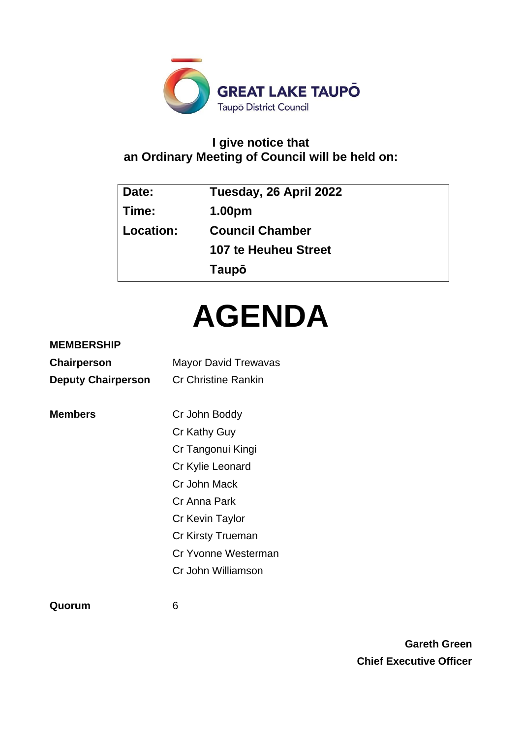

# **I give notice that an Ordinary Meeting of Council will be held on:**

| Date:     | Tuesday, 26 April 2022      |
|-----------|-----------------------------|
| Time:     | 1.00pm                      |
| Location: | <b>Council Chamber</b>      |
|           | <b>107 te Heuheu Street</b> |
|           | Taupō                       |

# **AGENDA**

## **MEMBERSHIP**

| <b>Chairperson</b>        | <b>Mayor David Trewavas</b> |  |  |
|---------------------------|-----------------------------|--|--|
| <b>Deputy Chairperson</b> | <b>Cr Christine Rankin</b>  |  |  |
|                           |                             |  |  |
| <b>Members</b>            | Cr John Boddy               |  |  |
|                           | Cr Kathy Guy                |  |  |
|                           | Cr Tangonui Kingi           |  |  |
|                           | Cr Kylie Leonard            |  |  |
|                           | Cr John Mack                |  |  |
|                           | Cr Anna Park                |  |  |
|                           | Cr Kevin Taylor             |  |  |
|                           | Cr Kirsty Trueman           |  |  |
|                           | Cr Yvonne Westerman         |  |  |
|                           | Cr John Williamson          |  |  |
|                           |                             |  |  |

**Quorum** 6

**Gareth Green Chief Executive Officer**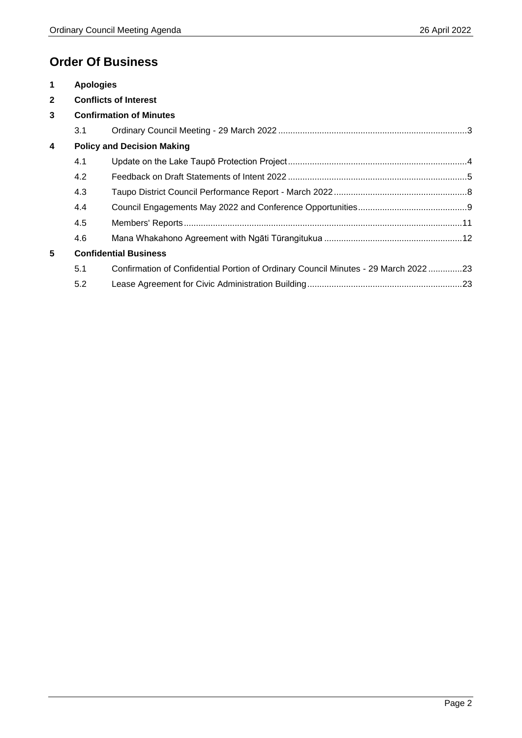# **Order Of Business**

| $\mathbf 1$             | <b>Apologies</b> |                                                                                    |  |
|-------------------------|------------------|------------------------------------------------------------------------------------|--|
| $\overline{2}$          |                  | <b>Conflicts of Interest</b>                                                       |  |
| 3                       |                  | <b>Confirmation of Minutes</b>                                                     |  |
|                         | 3.1              |                                                                                    |  |
| $\overline{\mathbf{4}}$ |                  | <b>Policy and Decision Making</b>                                                  |  |
|                         | 4.1              |                                                                                    |  |
|                         | 4.2              |                                                                                    |  |
|                         | 4.3              |                                                                                    |  |
|                         | 4.4              |                                                                                    |  |
|                         | 4.5              |                                                                                    |  |
|                         | 4.6              |                                                                                    |  |
| 5                       |                  | <b>Confidential Business</b>                                                       |  |
|                         | 5.1              | Confirmation of Confidential Portion of Ordinary Council Minutes - 29 March 202223 |  |
|                         | 5.2              |                                                                                    |  |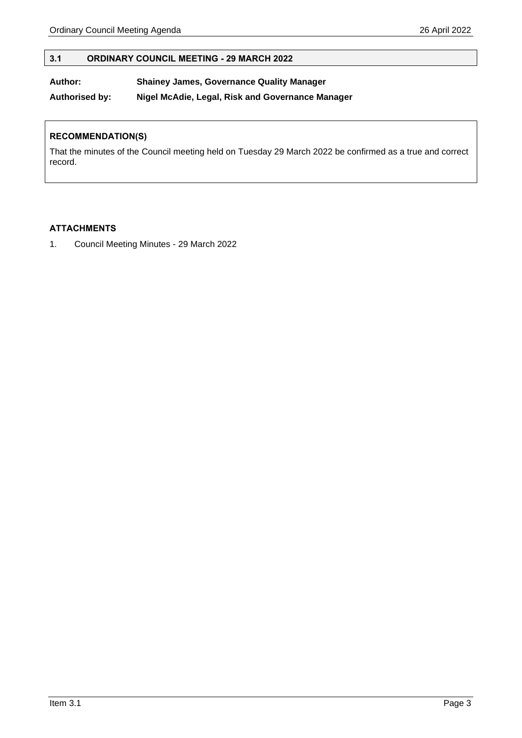#### <span id="page-2-0"></span>**3.1 ORDINARY COUNCIL MEETING - 29 MARCH 2022**

#### **Author: Shainey James, Governance Quality Manager**

**Authorised by: Nigel McAdie, Legal, Risk and Governance Manager**

#### **RECOMMENDATION(S)**

That the minutes of the Council meeting held on Tuesday 29 March 2022 be confirmed as a true and correct record.

#### **ATTACHMENTS**

1. Council Meeting Minutes - 29 March 2022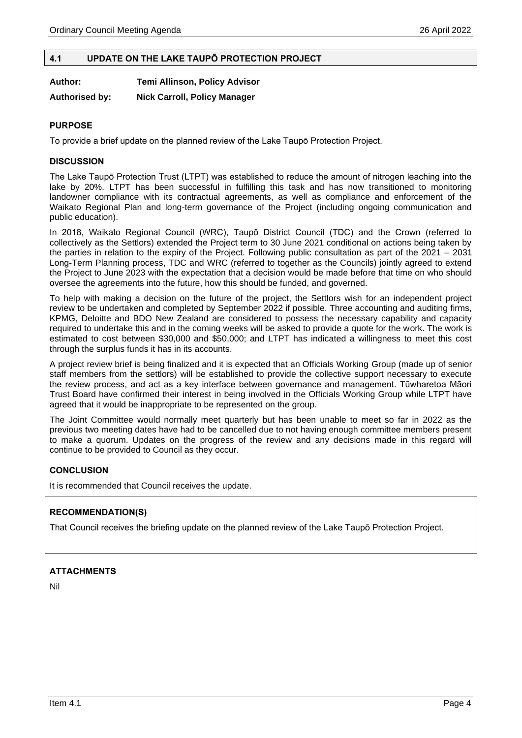#### <span id="page-3-0"></span>**4.1 UPDATE ON THE LAKE TAUPŌ PROTECTION PROJECT**

**Author: Temi Allinson, Policy Advisor**

**Authorised by: Nick Carroll, Policy Manager**

#### **PURPOSE**

To provide a brief update on the planned review of the Lake Taupō Protection Project.

#### **DISCUSSION**

The Lake Taupō Protection Trust (LTPT) was established to reduce the amount of nitrogen leaching into the lake by 20%. LTPT has been successful in fulfilling this task and has now transitioned to monitoring landowner compliance with its contractual agreements, as well as compliance and enforcement of the Waikato Regional Plan and long-term governance of the Project (including ongoing communication and public education).

In 2018, Waikato Regional Council (WRC), Taupō District Council (TDC) and the Crown (referred to collectively as the Settlors) extended the Project term to 30 June 2021 conditional on actions being taken by the parties in relation to the expiry of the Project. Following public consultation as part of the 2021 – 2031 Long-Term Planning process, TDC and WRC (referred to together as the Councils) jointly agreed to extend the Project to June 2023 with the expectation that a decision would be made before that time on who should oversee the agreements into the future, how this should be funded, and governed.

To help with making a decision on the future of the project, the Settlors wish for an independent project review to be undertaken and completed by September 2022 if possible. Three accounting and auditing firms, KPMG, Deloitte and BDO New Zealand are considered to possess the necessary capability and capacity required to undertake this and in the coming weeks will be asked to provide a quote for the work. The work is estimated to cost between \$30,000 and \$50,000; and LTPT has indicated a willingness to meet this cost through the surplus funds it has in its accounts.

A project review brief is being finalized and it is expected that an Officials Working Group (made up of senior staff members from the settlors) will be established to provide the collective support necessary to execute the review process, and act as a key interface between governance and management. Tūwharetoa Māori Trust Board have confirmed their interest in being involved in the Officials Working Group while LTPT have agreed that it would be inappropriate to be represented on the group.

The Joint Committee would normally meet quarterly but has been unable to meet so far in 2022 as the previous two meeting dates have had to be cancelled due to not having enough committee members present to make a quorum. Updates on the progress of the review and any decisions made in this regard will continue to be provided to Council as they occur.

#### **CONCLUSION**

It is recommended that Council receives the update.

#### **RECOMMENDATION(S)**

That Council receives the briefing update on the planned review of the Lake Taupō Protection Project.

#### **ATTACHMENTS**

Nil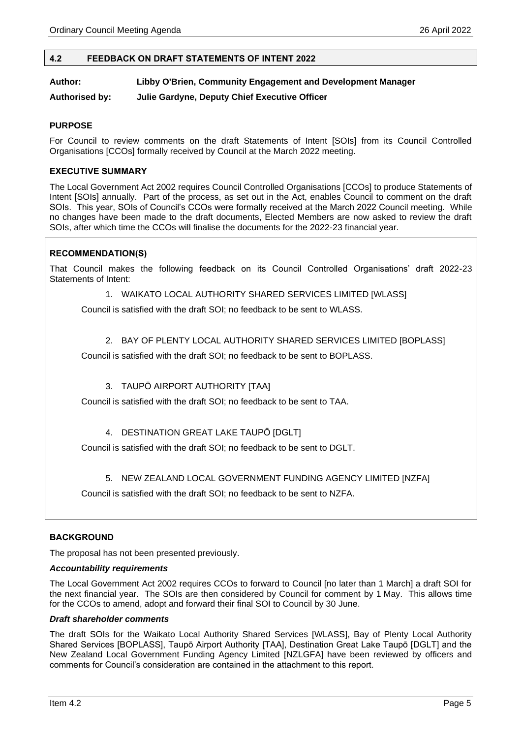#### <span id="page-4-0"></span>**4.2 FEEDBACK ON DRAFT STATEMENTS OF INTENT 2022**

#### **Author: Libby O'Brien, Community Engagement and Development Manager**

**Authorised by: Julie Gardyne, Deputy Chief Executive Officer**

#### **PURPOSE**

For Council to review comments on the draft Statements of Intent [SOIs] from its Council Controlled Organisations [CCOs] formally received by Council at the March 2022 meeting.

#### **EXECUTIVE SUMMARY**

The Local Government Act 2002 requires Council Controlled Organisations [CCOs] to produce Statements of Intent [SOIs] annually. Part of the process, as set out in the Act, enables Council to comment on the draft SOIs. This year, SOIs of Council's CCOs were formally received at the March 2022 Council meeting. While no changes have been made to the draft documents, Elected Members are now asked to review the draft SOIs, after which time the CCOs will finalise the documents for the 2022-23 financial year.

#### **RECOMMENDATION(S)**

That Council makes the following feedback on its Council Controlled Organisations' draft 2022-23 Statements of Intent:

#### 1. WAIKATO LOCAL AUTHORITY SHARED SERVICES LIMITED [WLASS]

Council is satisfied with the draft SOI; no feedback to be sent to WLASS.

#### 2. BAY OF PLENTY LOCAL AUTHORITY SHARED SERVICES LIMITED [BOPLASS]

Council is satisfied with the draft SOI; no feedback to be sent to BOPLASS.

#### 3. TAUPŌ AIRPORT AUTHORITY [TAA]

Council is satisfied with the draft SOI; no feedback to be sent to TAA.

#### 4. DESTINATION GREAT LAKE TAUPŌ [DGLT]

Council is satisfied with the draft SOI; no feedback to be sent to DGLT.

#### 5. NEW ZEALAND LOCAL GOVERNMENT FUNDING AGENCY LIMITED [NZFA]

Council is satisfied with the draft SOI; no feedback to be sent to NZFA.

#### **BACKGROUND**

The proposal has not been presented previously.

#### *Accountability requirements*

The Local Government Act 2002 requires CCOs to forward to Council [no later than 1 March] a draft SOI for the next financial year. The SOIs are then considered by Council for comment by 1 May. This allows time for the CCOs to amend, adopt and forward their final SOI to Council by 30 June.

#### *Draft shareholder comments*

The draft SOIs for the Waikato Local Authority Shared Services [WLASS], Bay of Plenty Local Authority Shared Services [BOPLASS], Taupō Airport Authority [TAA], Destination Great Lake Taupō [DGLT] and the New Zealand Local Government Funding Agency Limited [NZLGFA] have been reviewed by officers and comments for Council's consideration are contained in the attachment to this report.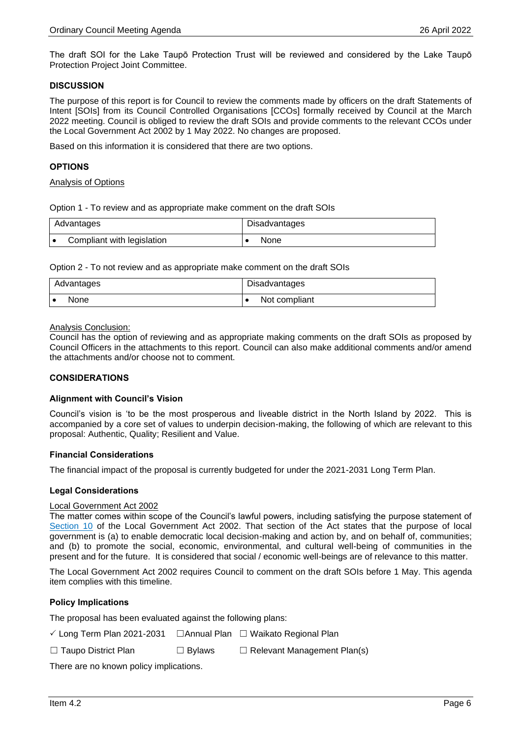The draft SOI for the Lake Taupō Protection Trust will be reviewed and considered by the Lake Taupō Protection Project Joint Committee.

#### **DISCUSSION**

The purpose of this report is for Council to review the comments made by officers on the draft Statements of Intent [SOIs] from its Council Controlled Organisations [CCOs] formally received by Council at the March 2022 meeting. Council is obliged to review the draft SOIs and provide comments to the relevant CCOs under the Local Government Act 2002 by 1 May 2022. No changes are proposed.

Based on this information it is considered that there are two options.

#### **OPTIONS**

#### Analysis of Options

Option 1 - To review and as appropriate make comment on the draft SOIs

| Advantages                 | Disadvantages |  |
|----------------------------|---------------|--|
| Compliant with legislation | None          |  |

Option 2 - To not review and as appropriate make comment on the draft SOIs

| Advantages | Disadvantages |
|------------|---------------|
| None       | Not compliant |

Analysis Conclusion:

Council has the option of reviewing and as appropriate making comments on the draft SOIs as proposed by Council Officers in the attachments to this report. Council can also make additional comments and/or amend the attachments and/or choose not to comment.

#### **CONSIDERATIONS**

#### **Alignment with Council's Vision**

Council's vision is 'to be the most prosperous and liveable district in the North Island by 2022. This is accompanied by a core set of values to underpin decision-making, the following of which are relevant to this proposal: Authentic, Quality; Resilient and Value.

#### **Financial Considerations**

The financial impact of the proposal is currently budgeted for under the 2021-2031 Long Term Plan.

#### **Legal Considerations**

#### Local Government Act 2002

The matter comes within scope of the Council's lawful powers, including satisfying the purpose statement of [Section 10](http://www.legislation.govt.nz/act/public/2002/0084/latest/DLM171803.html?search=qs_act%40bill%40regulation%40deemedreg_local+government+act_resel_25_h&p=1) of the Local Government Act 2002. That section of the Act states that the purpose of local government is (a) to enable democratic local decision-making and action by, and on behalf of, communities; and (b) to promote the social, economic, environmental, and cultural well-being of communities in the present and for the future. It is considered that social / economic well-beings are of relevance to this matter.

The Local Government Act 2002 requires Council to comment on the draft SOIs before 1 May. This agenda item complies with this timeline.

#### **Policy Implications**

The proposal has been evaluated against the following plans:

| $\checkmark$ Long Term Plan 2021-2031 |  | □ Annual Plan □ Waikato Regional Plan |
|---------------------------------------|--|---------------------------------------|
|---------------------------------------|--|---------------------------------------|

☐ Taupo District Plan ☐ Bylaws ☐ Relevant Management Plan(s)

There are no known policy implications.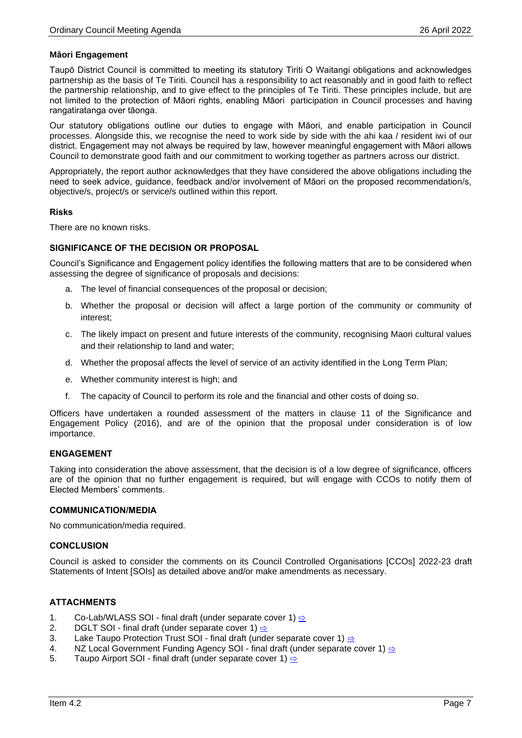#### **Māori Engagement**

Taupō District Council is committed to meeting its statutory Tiriti O Waitangi obligations and acknowledges partnership as the basis of Te Tiriti. Council has a responsibility to act reasonably and in good faith to reflect the partnership relationship, and to give effect to the principles of Te Tiriti. These principles include, but are not limited to the protection of Māori rights, enabling Māori participation in Council processes and having rangatiratanga over tāonga.

Our statutory obligations outline our duties to engage with Māori, and enable participation in Council processes. Alongside this, we recognise the need to work side by side with the ahi kaa / resident iwi of our district. Engagement may not always be required by law, however meaningful engagement with Māori allows Council to demonstrate good faith and our commitment to working together as partners across our district.

Appropriately, the report author acknowledges that they have considered the above obligations including the need to seek advice, guidance, feedback and/or involvement of Māori on the proposed recommendation/s, objective/s, project/s or service/s outlined within this report.

#### **Risks**

There are no known risks.

#### **SIGNIFICANCE OF THE DECISION OR PROPOSAL**

Council's Significance and Engagement policy identifies the following matters that are to be considered when assessing the degree of significance of proposals and decisions:

- a. The level of financial consequences of the proposal or decision;
- b. Whether the proposal or decision will affect a large portion of the community or community of interest;
- c. The likely impact on present and future interests of the community, recognising Maori cultural values and their relationship to land and water;
- d. Whether the proposal affects the level of service of an activity identified in the Long Term Plan;
- e. Whether community interest is high; and
- f. The capacity of Council to perform its role and the financial and other costs of doing so.

Officers have undertaken a rounded assessment of the matters in clause 11 of the Significance and Engagement Policy (2016), and are of the opinion that the proposal under consideration is of low importance.

#### **ENGAGEMENT**

Taking into consideration the above assessment, that the decision is of a low degree of significance, officers are of the opinion that no further engagement is required, but will engage with CCOs to notify them of Elected Members' comments.

#### **COMMUNICATION/MEDIA**

No communication/media required.

#### **CONCLUSION**

Council is asked to consider the comments on its Council Controlled Organisations [CCOs] 2022-23 draft Statements of Intent [SOIs] as detailed above and/or make amendments as necessary.

#### **ATTACHMENTS**

- 1. Co-Lab/WLASS SOI final draft (under separate cover 1)  $\Rightarrow$
- 2. DGLT SOI final draft (under separate cover 1)  $\Rightarrow$
- 3. Lake Taupo Protection Trust SOI final draft (under separate cover 1)  $\Rightarrow$
- 4. NZ Local Government Funding Agency SOI final draft (under separate cover 1) [⇨](../../../RedirectToInvalidFileName.aspx?FileName=TDC_20220426_ATT_5617_EXCLUDED.PDF#PAGE=54)
- 5. Taupo Airport SOI final draft (under separate cover 1)  $\Rightarrow$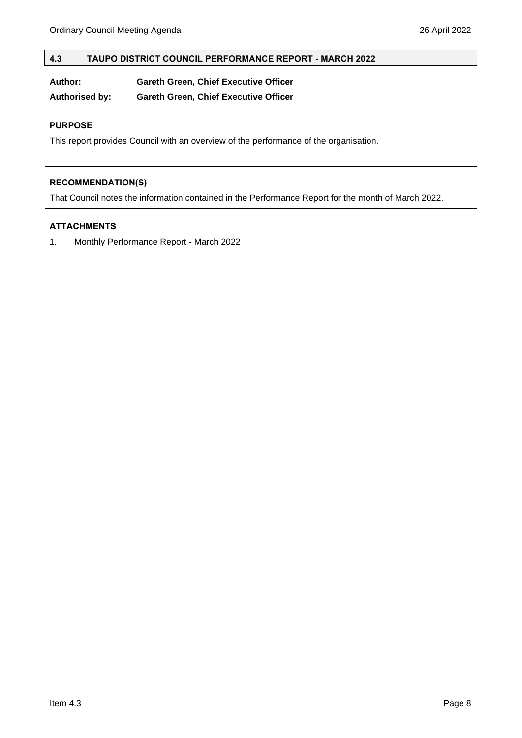#### <span id="page-7-0"></span>**4.3 TAUPO DISTRICT COUNCIL PERFORMANCE REPORT - MARCH 2022**

| Author: | <b>Gareth Green, Chief Executive Officer</b> |  |
|---------|----------------------------------------------|--|
|         |                                              |  |

**Authorised by: Gareth Green, Chief Executive Officer**

#### **PURPOSE**

This report provides Council with an overview of the performance of the organisation.

#### **RECOMMENDATION(S)**

That Council notes the information contained in the Performance Report for the month of March 2022.

#### **ATTACHMENTS**

1. Monthly Performance Report - March 2022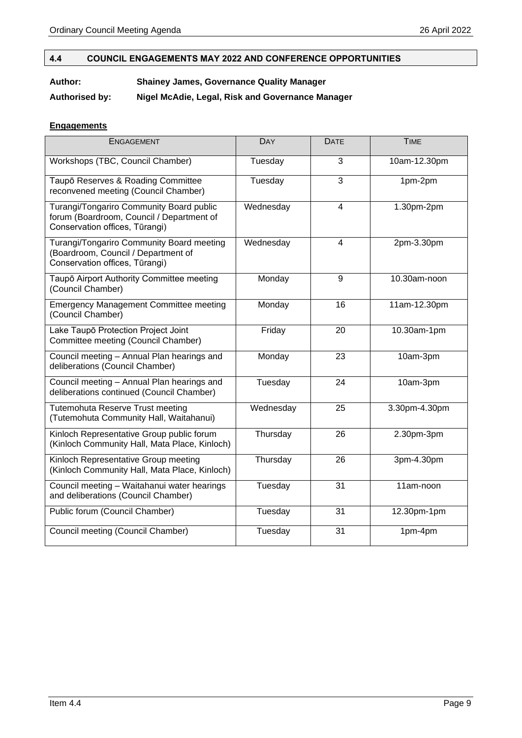### <span id="page-8-0"></span>**4.4 COUNCIL ENGAGEMENTS MAY 2022 AND CONFERENCE OPPORTUNITIES**

#### **Author: Shainey James, Governance Quality Manager**

**Authorised by: Nigel McAdie, Legal, Risk and Governance Manager**

#### **Engagements**

| <b>ENGAGEMENT</b>                                                                                                       | <b>DAY</b> | <b>DATE</b>    | <b>TIME</b>   |
|-------------------------------------------------------------------------------------------------------------------------|------------|----------------|---------------|
| Workshops (TBC, Council Chamber)                                                                                        | Tuesday    | 3              | 10am-12.30pm  |
| Taupō Reserves & Roading Committee<br>reconvened meeting (Council Chamber)                                              | Tuesday    | $\overline{3}$ | 1pm-2pm       |
| Turangi/Tongariro Community Board public<br>forum (Boardroom, Council / Department of<br>Conservation offices, Tūrangi) | Wednesday  | $\overline{4}$ | 1.30pm-2pm    |
| Turangi/Tongariro Community Board meeting<br>(Boardroom, Council / Department of<br>Conservation offices, Tūrangi)      | Wednesday  | 4              | 2pm-3.30pm    |
| Taupō Airport Authority Committee meeting<br>(Council Chamber)                                                          | Monday     | 9              | 10.30am-noon  |
| <b>Emergency Management Committee meeting</b><br>(Council Chamber)                                                      | Monday     | 16             | 11am-12.30pm  |
| Lake Taupō Protection Project Joint<br>Committee meeting (Council Chamber)                                              | Friday     | 20             | 10.30am-1pm   |
| Council meeting - Annual Plan hearings and<br>deliberations (Council Chamber)                                           | Monday     | 23             | 10am-3pm      |
| Council meeting - Annual Plan hearings and<br>deliberations continued (Council Chamber)                                 | Tuesday    | 24             | 10am-3pm      |
| Tutemohuta Reserve Trust meeting<br>(Tutemohuta Community Hall, Waitahanui)                                             | Wednesday  | 25             | 3.30pm-4.30pm |
| Kinloch Representative Group public forum<br>(Kinloch Community Hall, Mata Place, Kinloch)                              | Thursday   | 26             | 2.30pm-3pm    |
| Kinloch Representative Group meeting<br>(Kinloch Community Hall, Mata Place, Kinloch)                                   | Thursday   | 26             | 3pm-4.30pm    |
| Council meeting - Waitahanui water hearings<br>and deliberations (Council Chamber)                                      | Tuesday    | 31             | 11am-noon     |
| Public forum (Council Chamber)                                                                                          | Tuesday    | 31             | 12.30pm-1pm   |
| Council meeting (Council Chamber)                                                                                       | Tuesday    | 31             | 1pm-4pm       |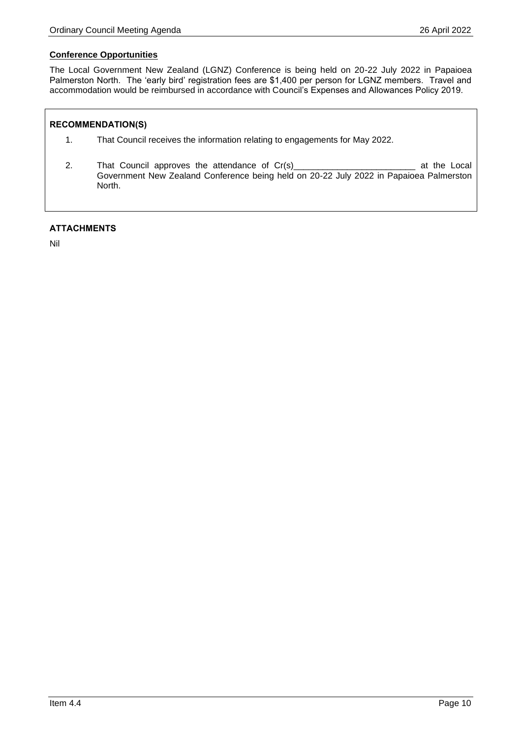#### **Conference Opportunities**

The Local Government New Zealand (LGNZ) Conference is being held on 20-22 July 2022 in Papaioea Palmerston North. The 'early bird' registration fees are \$1,400 per person for LGNZ members. Travel and accommodation would be reimbursed in accordance with Council's Expenses and Allowances Policy 2019.

#### **RECOMMENDATION(S)**

- 1. That Council receives the information relating to engagements for May 2022.
- 2. That Council approves the attendance of Cr(s)\_\_\_\_\_\_\_\_\_\_\_\_\_\_\_\_\_\_\_\_\_\_\_\_\_\_\_\_\_\_\_\_ at the Local Government New Zealand Conference being held on 20-22 July 2022 in Papaioea Palmerston North.

#### **ATTACHMENTS**

Nil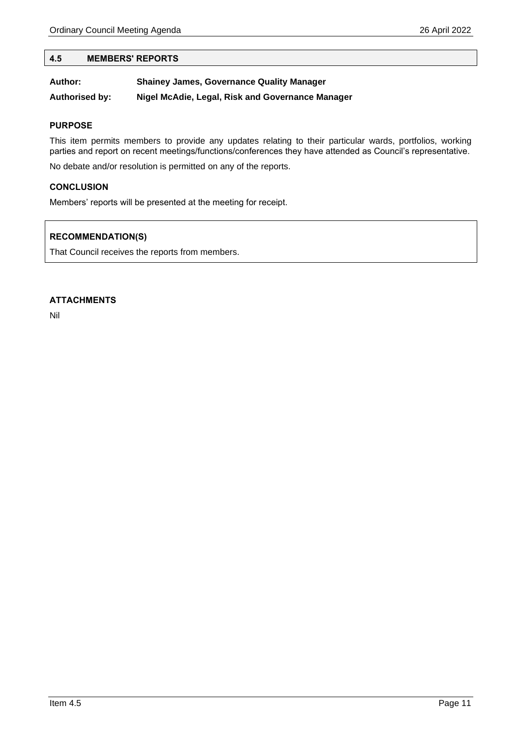#### <span id="page-10-0"></span>**4.5 MEMBERS' REPORTS**

| Author:               | <b>Shainey James, Governance Quality Manager</b> |
|-----------------------|--------------------------------------------------|
| <b>Authorised by:</b> | Nigel McAdie, Legal, Risk and Governance Manager |

#### **PURPOSE**

This item permits members to provide any updates relating to their particular wards, portfolios, working parties and report on recent meetings/functions/conferences they have attended as Council's representative.

No debate and/or resolution is permitted on any of the reports.

#### **CONCLUSION**

Members' reports will be presented at the meeting for receipt.

#### **RECOMMENDATION(S)**

That Council receives the reports from members.

#### **ATTACHMENTS**

Nil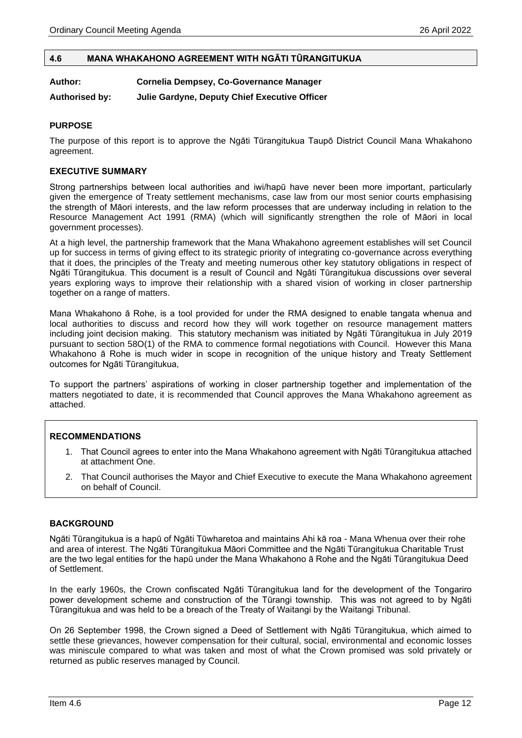#### <span id="page-11-0"></span>**4.6 MANA WHAKAHONO AGREEMENT WITH NGĀTI TŪRANGITUKUA**

#### **Author: Cornelia Dempsey, Co-Governance Manager**

**Authorised by: Julie Gardyne, Deputy Chief Executive Officer**

#### **PURPOSE**

The purpose of this report is to approve the Ngāti Tūrangitukua Taupō District Council Mana Whakahono agreement.

#### **EXECUTIVE SUMMARY**

Strong partnerships between local authorities and iwi/hapū have never been more important, particularly given the emergence of Treaty settlement mechanisms, case law from our most senior courts emphasising the strength of Māori interests, and the law reform processes that are underway including in relation to the Resource Management Act 1991 (RMA) (which will significantly strengthen the role of Māori in local government processes).

At a high level, the partnership framework that the Mana Whakahono agreement establishes will set Council up for success in terms of giving effect to its strategic priority of integrating co-governance across everything that it does, the principles of the Treaty and meeting numerous other key statutory obligations in respect of Ngāti Tūrangitukua. This document is a result of Council and Ngāti Tūrangitukua discussions over several years exploring ways to improve their relationship with a shared vision of working in closer partnership together on a range of matters.

Mana Whakahono ā Rohe, is a tool provided for under the RMA designed to enable tangata whenua and local authorities to discuss and record how they will work together on resource management matters including joint decision making. This statutory mechanism was initiated by Ngāti Tūrangitukua in July 2019 pursuant to section 58O(1) of the RMA to commence formal negotiations with Council. However this Mana Whakahono ā Rohe is much wider in scope in recognition of the unique history and Treaty Settlement outcomes for Ngāti Tūrangitukua,

To support the partners' aspirations of working in closer partnership together and implementation of the matters negotiated to date, it is recommended that Council approves the Mana Whakahono agreement as attached.

#### **RECOMMENDATIONS**

- 1. That Council agrees to enter into the Mana Whakahono agreement with Ngāti Tūrangitukua attached at attachment One.
- 2. That Council authorises the Mayor and Chief Executive to execute the Mana Whakahono agreement on behalf of Council.

#### **BACKGROUND**

Ngāti Tūrangitukua is a hapū of Ngāti Tūwharetoa and maintains Ahi kā roa - Mana Whenua over their rohe and area of interest. The Ngāti Tūrangitukua Māori Committee and the Ngāti Tūrangitukua Charitable Trust are the two legal entities for the hapū under the Mana Whakahono ā Rohe and the Ngāti Tūrangitukua Deed of Settlement.

In the early 1960s, the Crown confiscated Ngāti Tūrangitukua land for the development of the Tongariro power development scheme and construction of the Tūrangi township. This was not agreed to by Ngāti Tūrangitukua and was held to be a breach of the Treaty of Waitangi by the Waitangi Tribunal.

On 26 September 1998, the Crown signed a Deed of Settlement with Ngāti Tūrangitukua, which aimed to settle these grievances, however compensation for their cultural, social, environmental and economic losses was miniscule compared to what was taken and most of what the Crown promised was sold privately or returned as public reserves managed by Council.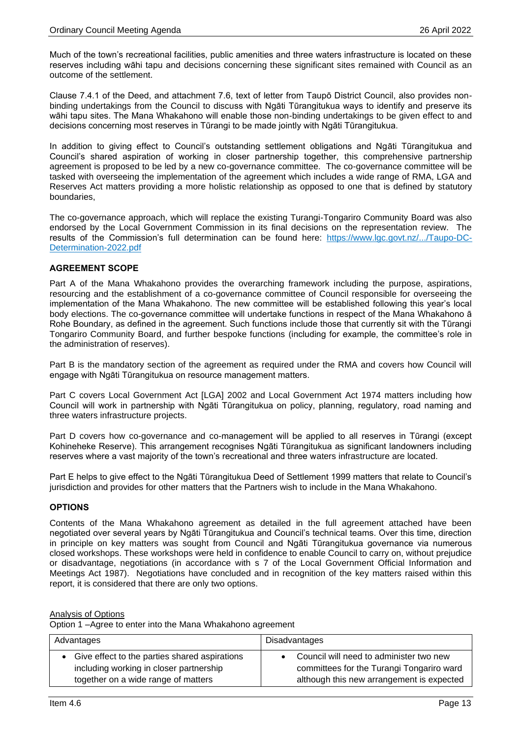Much of the town's recreational facilities, public amenities and three waters infrastructure is located on these reserves including wāhi tapu and decisions concerning these significant sites remained with Council as an outcome of the settlement.

Clause 7.4.1 of the Deed, and attachment 7.6, text of letter from Taupō District Council, also provides nonbinding undertakings from the Council to discuss with Ngāti Tūrangitukua ways to identify and preserve its wāhi tapu sites. The Mana Whakahono will enable those non-binding undertakings to be given effect to and decisions concerning most reserves in Tūrangi to be made jointly with Ngāti Tūrangitukua.

In addition to giving effect to Council's outstanding settlement obligations and Ngāti Tūrangitukua and Council's shared aspiration of working in closer partnership together, this comprehensive partnership agreement is proposed to be led by a new co-governance committee. The co-governance committee will be tasked with overseeing the implementation of the agreement which includes a wide range of RMA, LGA and Reserves Act matters providing a more holistic relationship as opposed to one that is defined by statutory boundaries,

The co-governance approach, which will replace the existing Turangi-Tongariro Community Board was also endorsed by the Local Government Commission in its final decisions on the representation review. The results of the Commission's full determination can be found here: [https://www.lgc.govt.nz/.../Taupo-DC-](https://www.lgc.govt.nz/.../Taupo-DC-Determination-2022.pdf)[Determination-2022.pdf](https://www.lgc.govt.nz/.../Taupo-DC-Determination-2022.pdf)

#### **AGREEMENT SCOPE**

Part A of the Mana Whakahono provides the overarching framework including the purpose, aspirations, resourcing and the establishment of a co-governance committee of Council responsible for overseeing the implementation of the Mana Whakahono. The new committee will be established following this year's local body elections. The co-governance committee will undertake functions in respect of the Mana Whakahono ā Rohe Boundary, as defined in the agreement. Such functions include those that currently sit with the Tūrangi Tongariro Community Board, and further bespoke functions (including for example, the committee's role in the administration of reserves).

Part B is the mandatory section of the agreement as required under the RMA and covers how Council will engage with Ngāti Tūrangitukua on resource management matters.

Part C covers Local Government Act [LGA] 2002 and Local Government Act 1974 matters including how Council will work in partnership with Ngāti Tūrangitukua on policy, planning, regulatory, road naming and three waters infrastructure projects.

Part D covers how co-governance and co-management will be applied to all reserves in Tūrangi (except Kohineheke Reserve). This arrangement recognises Ngāti Tūrangitukua as significant landowners including reserves where a vast majority of the town's recreational and three waters infrastructure are located.

Part E helps to give effect to the Ngāti Tūrangitukua Deed of Settlement 1999 matters that relate to Council's jurisdiction and provides for other matters that the Partners wish to include in the Mana Whakahono.

#### **OPTIONS**

Contents of the Mana Whakahono agreement as detailed in the full agreement attached have been negotiated over several years by Ngāti Tūrangitukua and Council's technical teams. Over this time, direction in principle on key matters was sought from Council and Ngāti Tūrangitukua governance via numerous closed workshops. These workshops were held in confidence to enable Council to carry on, without prejudice or disadvantage, negotiations (in accordance with s 7 of the Local Government Official Information and Meetings Act 1987). Negotiations have concluded and in recognition of the key matters raised within this report, it is considered that there are only two options.

#### Analysis of Options

Option 1 –Agree to enter into the Mana Whakahono agreement

| Advantages                                    | Disadvantages                             |  |
|-----------------------------------------------|-------------------------------------------|--|
| Give effect to the parties shared aspirations | • Council will need to administer two new |  |
| including working in closer partnership       | committees for the Turangi Tongariro ward |  |
| together on a wide range of matters           | although this new arrangement is expected |  |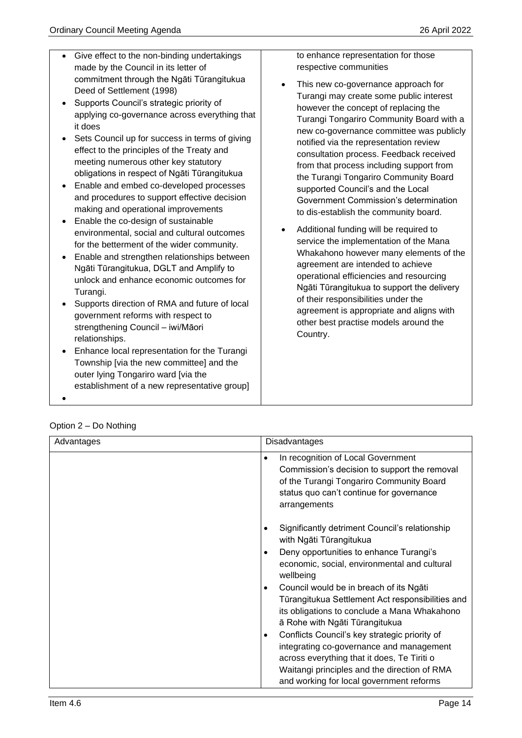• Give effect to the non-binding undertakings

commitment through the Ngāti Tūrangitukua

made by the Council in its letter of

to enhance representation for those

This new co-governance approach for

respective communities

Deed of Settlement (1998) • Supports Council's strategic priority of applying co-governance across everything that it does • Sets Council up for success in terms of giving effect to the principles of the Treaty and meeting numerous other key statutory obligations in respect of Ngāti Tūrangitukua • Enable and embed co-developed processes and procedures to support effective decision making and operational improvements • Enable the co-design of sustainable environmental, social and cultural outcomes for the betterment of the wider community. • Enable and strengthen relationships between Ngāti Tūrangitukua, DGLT and Amplify to unlock and enhance economic outcomes for Turangi. • Supports direction of RMA and future of local government reforms with respect to strengthening Council – iwi/Māori relationships. • Enhance local representation for the Turangi Township [via the new committee] and the outer lying Tongariro ward [via the establishment of a new representative group] • Turangi may create some public interest however the concept of replacing the Turangi Tongariro Community Board with a new co-governance committee was publicly notified via the representation review consultation process. Feedback received from that process including support from the Turangi Tongariro Community Board supported Council's and the Local Government Commission's determination to dis-establish the community board. • Additional funding will be required to service the implementation of the Mana Whakahono however many elements of the agreement are intended to achieve operational efficiencies and resourcing Ngāti Tūrangitukua to support the delivery of their responsibilities under the agreement is appropriate and aligns with other best practise models around the Country.

|  | Option 2 – Do Nothing |
|--|-----------------------|
|  |                       |

| Advantages | <b>Disadvantages</b>                                                                                                                                                                                                                                                                                                                                                                                                                                                                                                                                                                                       |  |
|------------|------------------------------------------------------------------------------------------------------------------------------------------------------------------------------------------------------------------------------------------------------------------------------------------------------------------------------------------------------------------------------------------------------------------------------------------------------------------------------------------------------------------------------------------------------------------------------------------------------------|--|
|            | In recognition of Local Government<br>Commission's decision to support the removal<br>of the Turangi Tongariro Community Board<br>status quo can't continue for governance<br>arrangements                                                                                                                                                                                                                                                                                                                                                                                                                 |  |
|            | Significantly detriment Council's relationship<br>with Ngāti Tūrangitukua<br>Deny opportunities to enhance Turangi's<br>economic, social, environmental and cultural<br>wellbeing<br>Council would be in breach of its Ngati<br>Tūrangitukua Settlement Act responsibilities and<br>its obligations to conclude a Mana Whakahono<br>ā Rohe with Ngāti Tūrangitukua<br>Conflicts Council's key strategic priority of<br>integrating co-governance and management<br>across everything that it does, Te Tiriti o<br>Waitangi principles and the direction of RMA<br>and working for local government reforms |  |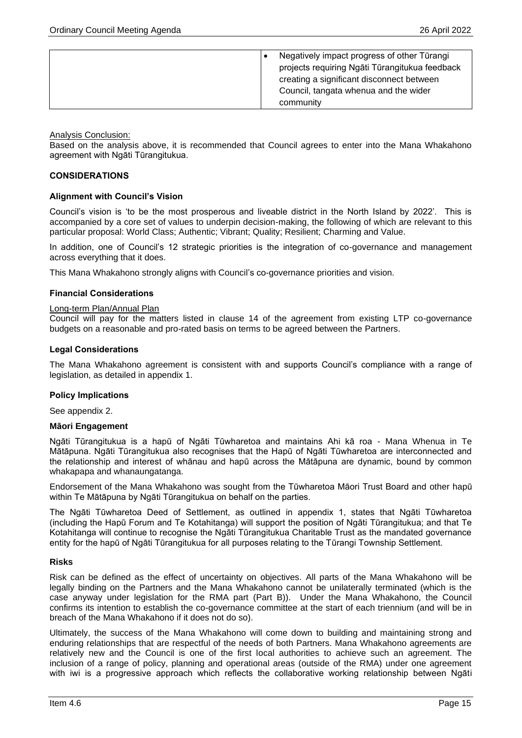|  | Negatively impact progress of other Tūrangi    |
|--|------------------------------------------------|
|  | projects requiring Ngāti Tūrangitukua feedback |
|  | creating a significant disconnect between      |
|  | Council, tangata whenua and the wider          |
|  | community                                      |

Analysis Conclusion:

Based on the analysis above, it is recommended that Council agrees to enter into the Mana Whakahono agreement with Ngāti Tūrangitukua.

#### **CONSIDERATIONS**

#### **Alignment with Council's Vision**

Council's vision is 'to be the most prosperous and liveable district in the North Island by 2022'. This is accompanied by a core set of values to underpin decision-making, the following of which are relevant to this particular proposal: World Class; Authentic; Vibrant; Quality; Resilient; Charming and Value.

In addition, one of Council's 12 strategic priorities is the integration of co-governance and management across everything that it does.

This Mana Whakahono strongly aligns with Council's co-governance priorities and vision.

#### **Financial Considerations**

#### Long-term Plan/Annual Plan

Council will pay for the matters listed in clause 14 of the agreement from existing LTP co-governance budgets on a reasonable and pro-rated basis on terms to be agreed between the Partners.

#### **Legal Considerations**

The Mana Whakahono agreement is consistent with and supports Council's compliance with a range of legislation, as detailed in appendix 1.

#### **Policy Implications**

See appendix 2.

#### **Māori Engagement**

Ngāti Tūrangitukua is a hapū of Ngāti Tūwharetoa and maintains Ahi kā roa - Mana Whenua in Te Mātāpuna. Ngāti Tūrangitukua also recognises that the Hapū of Ngāti Tūwharetoa are interconnected and the relationship and interest of whānau and hapū across the Mātāpuna are dynamic, bound by common whakapapa and whanaungatanga.

Endorsement of the Mana Whakahono was sought from the Tūwharetoa Māori Trust Board and other hapū within Te Mātāpuna by Ngāti Tūrangitukua on behalf on the parties.

The Ngāti Tūwharetoa Deed of Settlement, as outlined in appendix 1, states that Ngāti Tūwharetoa (including the Hapū Forum and Te Kotahitanga) will support the position of Ngāti Tūrangitukua; and that Te Kotahitanga will continue to recognise the Ngāti Tūrangitukua Charitable Trust as the mandated governance entity for the hapū of Ngāti Tūrangitukua for all purposes relating to the Tūrangi Township Settlement.

#### **Risks**

Risk can be defined as the effect of uncertainty on objectives. All parts of the Mana Whakahono will be legally binding on the Partners and the Mana Whakahono cannot be unilaterally terminated (which is the case anyway under legislation for the RMA part (Part B)). Under the Mana Whakahono, the Council confirms its intention to establish the co-governance committee at the start of each triennium (and will be in breach of the Mana Whakahono if it does not do so).

Ultimately, the success of the Mana Whakahono will come down to building and maintaining strong and enduring relationships that are respectful of the needs of both Partners. Mana Whakahono agreements are relatively new and the Council is one of the first local authorities to achieve such an agreement. The inclusion of a range of policy, planning and operational areas (outside of the RMA) under one agreement with iwi is a progressive approach which reflects the collaborative working relationship between Ngāti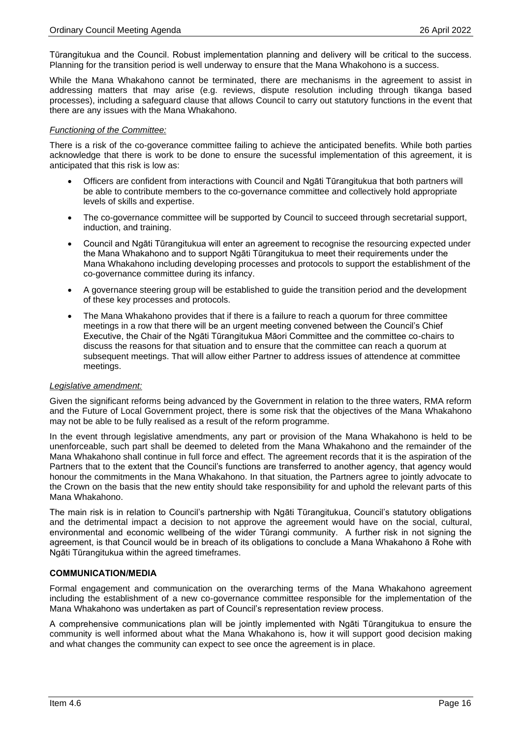Tūrangitukua and the Council. Robust implementation planning and delivery will be critical to the success. Planning for the transition period is well underway to ensure that the Mana Whakohono is a success.

While the Mana Whakahono cannot be terminated, there are mechanisms in the agreement to assist in addressing matters that may arise (e.g. reviews, dispute resolution including through tikanga based processes), including a safeguard clause that allows Council to carry out statutory functions in the event that there are any issues with the Mana Whakahono.

#### *Functioning of the Committee:*

There is a risk of the co-goverance committee failing to achieve the anticipated benefits. While both parties acknowledge that there is work to be done to ensure the sucessful implementation of this agreement, it is anticipated that this risk is low as:

- Officers are confident from interactions with Council and Ngāti Tūrangitukua that both partners will be able to contribute members to the co-governance committee and collectively hold appropriate levels of skills and expertise.
- The co-governance committee will be supported by Council to succeed through secretarial support, induction, and training.
- Council and Ngāti Tūrangitukua will enter an agreement to recognise the resourcing expected under the Mana Whakahono and to support Ngāti Tūrangitukua to meet their requirements under the Mana Whakahono including developing processes and protocols to support the establishment of the co-governance committee during its infancy.
- A governance steering group will be established to guide the transition period and the development of these key processes and protocols.
- The Mana Whakahono provides that if there is a failure to reach a quorum for three committee meetings in a row that there will be an urgent meeting convened between the Council's Chief Executive, the Chair of the Ngāti Tūrangitukua Māori Committee and the committee co-chairs to discuss the reasons for that situation and to ensure that the committee can reach a quorum at subsequent meetings. That will allow either Partner to address issues of attendence at committee meetings.

#### *Legislative amendment:*

Given the significant reforms being advanced by the Government in relation to the three waters, RMA reform and the Future of Local Government project, there is some risk that the objectives of the Mana Whakahono may not be able to be fully realised as a result of the reform programme.

In the event through legislative amendments, any part or provision of the Mana Whakahono is held to be unenforceable, such part shall be deemed to deleted from the Mana Whakahono and the remainder of the Mana Whakahono shall continue in full force and effect. The agreement records that it is the aspiration of the Partners that to the extent that the Council's functions are transferred to another agency, that agency would honour the commitments in the Mana Whakahono. In that situation, the Partners agree to jointly advocate to the Crown on the basis that the new entity should take responsibility for and uphold the relevant parts of this Mana Whakahono.

The main risk is in relation to Council's partnership with Ngāti Tūrangitukua, Council's statutory obligations and the detrimental impact a decision to not approve the agreement would have on the social, cultural, environmental and economic wellbeing of the wider Tūrangi community. A further risk in not signing the agreement, is that Council would be in breach of its obligations to conclude a Mana Whakahono ā Rohe with Ngāti Tūrangitukua within the agreed timeframes.

#### **COMMUNICATION/MEDIA**

Formal engagement and communication on the overarching terms of the Mana Whakahono agreement including the establishment of a new co-governance committee responsible for the implementation of the Mana Whakahono was undertaken as part of Council's representation review process.

A comprehensive communications plan will be jointly implemented with Ngāti Tūrangitukua to ensure the community is well informed about what the Mana Whakahono is, how it will support good decision making and what changes the community can expect to see once the agreement is in place.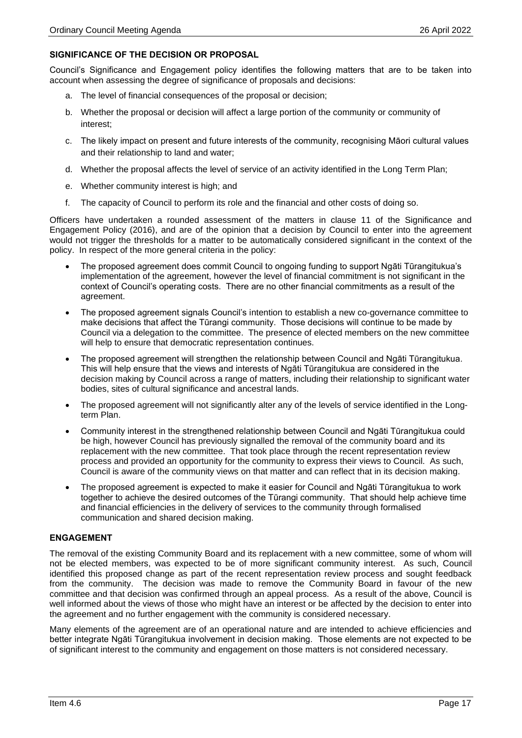#### **SIGNIFICANCE OF THE DECISION OR PROPOSAL**

Council's Significance and Engagement policy identifies the following matters that are to be taken into account when assessing the degree of significance of proposals and decisions:

- a. The level of financial consequences of the proposal or decision;
- b. Whether the proposal or decision will affect a large portion of the community or community of interest;
- c. The likely impact on present and future interests of the community, recognising Māori cultural values and their relationship to land and water;
- d. Whether the proposal affects the level of service of an activity identified in the Long Term Plan;
- e. Whether community interest is high; and
- f. The capacity of Council to perform its role and the financial and other costs of doing so.

Officers have undertaken a rounded assessment of the matters in clause 11 of the Significance and Engagement Policy (2016), and are of the opinion that a decision by Council to enter into the agreement would not trigger the thresholds for a matter to be automatically considered significant in the context of the policy. In respect of the more general criteria in the policy:

- The proposed agreement does commit Council to ongoing funding to support Ngāti Tūrangitukua's implementation of the agreement, however the level of financial commitment is not significant in the context of Council's operating costs. There are no other financial commitments as a result of the agreement.
- The proposed agreement signals Council's intention to establish a new co-governance committee to make decisions that affect the Tūrangi community. Those decisions will continue to be made by Council via a delegation to the committee. The presence of elected members on the new committee will help to ensure that democratic representation continues.
- The proposed agreement will strengthen the relationship between Council and Ngāti Tūrangitukua. This will help ensure that the views and interests of Ngāti Tūrangitukua are considered in the decision making by Council across a range of matters, including their relationship to significant water bodies, sites of cultural significance and ancestral lands.
- The proposed agreement will not significantly alter any of the levels of service identified in the Longterm Plan.
- Community interest in the strengthened relationship between Council and Ngāti Tūrangitukua could be high, however Council has previously signalled the removal of the community board and its replacement with the new committee. That took place through the recent representation review process and provided an opportunity for the community to express their views to Council. As such, Council is aware of the community views on that matter and can reflect that in its decision making.
- The proposed agreement is expected to make it easier for Council and Ngāti Tūrangitukua to work together to achieve the desired outcomes of the Tūrangi community. That should help achieve time and financial efficiencies in the delivery of services to the community through formalised communication and shared decision making.

#### **ENGAGEMENT**

The removal of the existing Community Board and its replacement with a new committee, some of whom will not be elected members, was expected to be of more significant community interest. As such, Council identified this proposed change as part of the recent representation review process and sought feedback from the community. The decision was made to remove the Community Board in favour of the new committee and that decision was confirmed through an appeal process. As a result of the above, Council is well informed about the views of those who might have an interest or be affected by the decision to enter into the agreement and no further engagement with the community is considered necessary.

Many elements of the agreement are of an operational nature and are intended to achieve efficiencies and better integrate Ngāti Tūrangitukua involvement in decision making. Those elements are not expected to be of significant interest to the community and engagement on those matters is not considered necessary.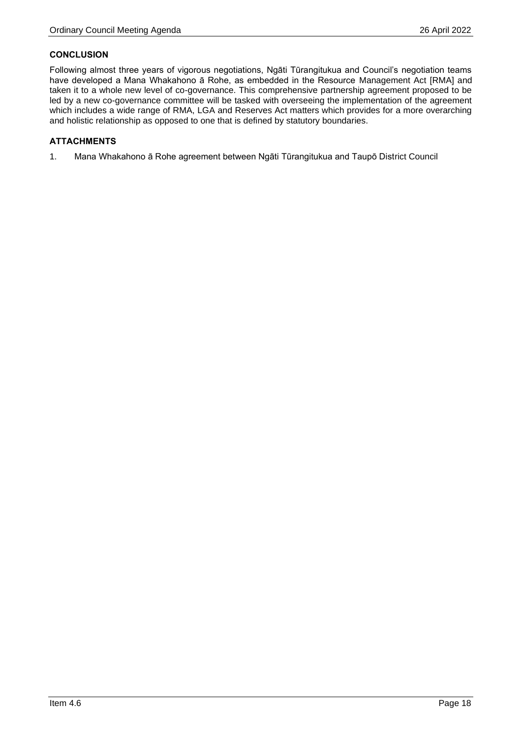#### **CONCLUSION**

Following almost three years of vigorous negotiations, Ngāti Tūrangitukua and Council's negotiation teams have developed a Mana Whakahono ā Rohe, as embedded in the Resource Management Act [RMA] and taken it to a whole new level of co-governance. This comprehensive partnership agreement proposed to be led by a new co-governance committee will be tasked with overseeing the implementation of the agreement which includes a wide range of RMA, LGA and Reserves Act matters which provides for a more overarching and holistic relationship as opposed to one that is defined by statutory boundaries.

#### **ATTACHMENTS**

1. Mana Whakahono ā Rohe agreement between Ngāti Tūrangitukua and Taupō District Council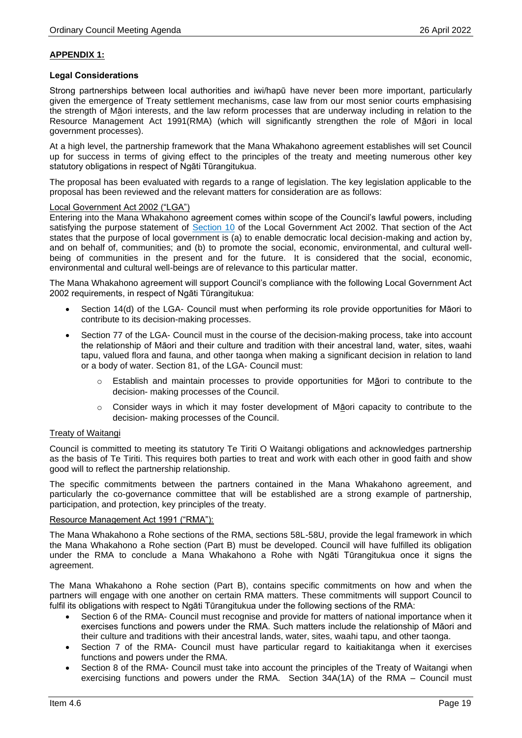#### **APPENDIX 1:**

#### **Legal Considerations**

Strong partnerships between local authorities and iwi/hapū have never been more important, particularly given the emergence of Treaty settlement mechanisms, case law from our most senior courts emphasising the strength of Māori interests, and the law reform processes that are underway including in relation to the Resource Management Act 1991(RMA) (which will significantly strengthen the role of Māori in local government processes).

At a high level, the partnership framework that the Mana Whakahono agreement establishes will set Council up for success in terms of giving effect to the principles of the treaty and meeting numerous other key statutory obligations in respect of Ngāti Tūrangitukua.

The proposal has been evaluated with regards to a range of legislation. The key legislation applicable to the proposal has been reviewed and the relevant matters for consideration are as follows:

#### Local Government Act 2002 ("LGA")

Entering into the Mana Whakahono agreement comes within scope of the Council's lawful powers, including satisfying the purpose statement of [Section 10](http://www.legislation.govt.nz/act/public/2002/0084/latest/DLM171803.html?search=qs_act%40bill%40regulation%40deemedreg_local+government+act_resel_25_h&p=1) of the Local Government Act 2002. That section of the Act states that the purpose of local government is (a) to enable democratic local decision-making and action by, and on behalf of, communities; and (b) to promote the social, economic, environmental, and cultural wellbeing of communities in the present and for the future. It is considered that the social, economic, environmental and cultural well-beings are of relevance to this particular matter.

The Mana Whakahono agreement will support Council's compliance with the following Local Government Act 2002 requirements, in respect of Ngāti Tūrangitukua:

- Section 14(d) of the LGA- Council must when performing its role provide opportunities for Māori to contribute to its decision-making processes.
- Section 77 of the LGA- Council must in the course of the decision-making process, take into account the relationship of Māori and their culture and tradition with their ancestral land, water, sites, waahi tapu, valued flora and fauna, and other taonga when making a significant decision in relation to land or a body of water. Section 81, of the LGA- Council must:
	- o Establish and maintain processes to provide opportunities for Māori to contribute to the decision- making processes of the Council.
	- o Consider ways in which it may foster development of Māori capacity to contribute to the decision- making processes of the Council.

#### Treaty of Waitangi

Council is committed to meeting its statutory Te Tiriti O Waitangi obligations and acknowledges partnership as the basis of Te Tiriti. This requires both parties to treat and work with each other in good faith and show good will to reflect the partnership relationship.

The specific commitments between the partners contained in the Mana Whakahono agreement, and particularly the co-governance committee that will be established are a strong example of partnership, participation, and protection, key principles of the treaty.

#### Resource Management Act 1991 ("RMA"):

The Mana Whakahono a Rohe sections of the RMA, sections 58L-58U, provide the legal framework in which the Mana Whakahono a Rohe section (Part B) must be developed. Council will have fulfilled its obligation under the RMA to conclude a Mana Whakahono a Rohe with Ngāti Tūrangitukua once it signs the agreement.

The Mana Whakahono a Rohe section (Part B), contains specific commitments on how and when the partners will engage with one another on certain RMA matters. These commitments will support Council to fulfil its obligations with respect to Ngāti Tūrangitukua under the following sections of the RMA:

- Section 6 of the RMA- Council must recognise and provide for matters of national importance when it exercises functions and powers under the RMA. Such matters include the relationship of Māori and their culture and traditions with their ancestral lands, water, sites, waahi tapu, and other taonga.
- Section 7 of the RMA- Council must have particular regard to kaitiakitanga when it exercises functions and powers under the RMA.
- Section 8 of the RMA- Council must take into account the principles of the Treaty of Waitangi when exercising functions and powers under the RMA. Section 34A(1A) of the RMA – Council must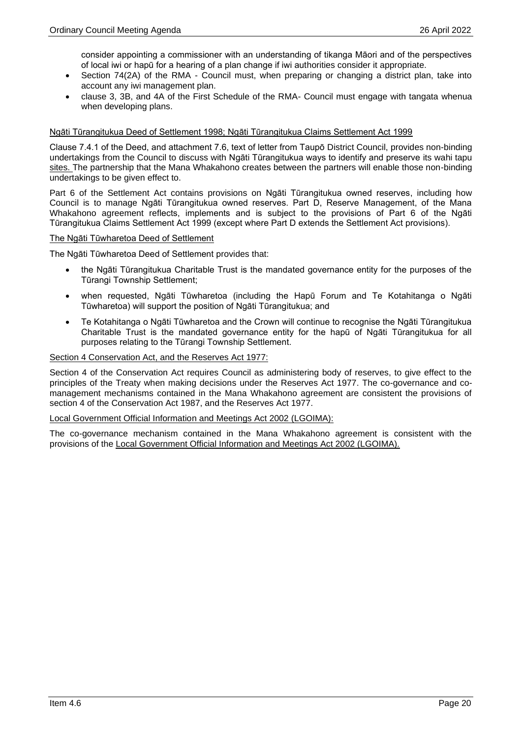consider appointing a commissioner with an understanding of tikanga Māori and of the perspectives of local iwi or hapū for a hearing of a plan change if iwi authorities consider it appropriate.

- Section 74(2A) of the RMA Council must, when preparing or changing a district plan, take into account any iwi management plan.
- clause 3, 3B, and 4A of the First Schedule of the RMA- Council must engage with tangata whenua when developing plans.

#### Ngāti Tūrangitukua Deed of Settlement 1998; Ngāti Tūrangitukua Claims Settlement Act 1999

Clause 7.4.1 of the Deed, and attachment 7.6, text of letter from Taupō District Council, provides non-binding undertakings from the Council to discuss with Ngāti Tūrangitukua ways to identify and preserve its wahi tapu sites. The partnership that the Mana Whakahono creates between the partners will enable those non-binding undertakings to be given effect to.

Part 6 of the Settlement Act contains provisions on Ngāti Tūrangitukua owned reserves, including how Council is to manage Ngāti Tūrangitukua owned reserves. Part D, Reserve Management, of the Mana Whakahono agreement reflects, implements and is subject to the provisions of Part 6 of the Ngāti Tūrangitukua Claims Settlement Act 1999 (except where Part D extends the Settlement Act provisions).

#### The Ngāti Tūwharetoa Deed of Settlement

The Ngāti Tūwharetoa Deed of Settlement provides that:

- the Ngāti Tūrangitukua Charitable Trust is the mandated governance entity for the purposes of the Tūrangi Township Settlement;
- when requested, Ngāti Tūwharetoa (including the Hapū Forum and Te Kotahitanga o Ngāti Tūwharetoa) will support the position of Ngāti Tūrangitukua; and
- Te Kotahitanga o Ngāti Tūwharetoa and the Crown will continue to recognise the Ngāti Tūrangitukua Charitable Trust is the mandated governance entity for the hapū of Ngāti Tūrangitukua for all purposes relating to the Tūrangi Township Settlement.

#### Section 4 Conservation Act, and the Reserves Act 1977:

Section 4 of the Conservation Act requires Council as administering body of reserves, to give effect to the principles of the Treaty when making decisions under the Reserves Act 1977. The co-governance and comanagement mechanisms contained in the Mana Whakahono agreement are consistent the provisions of section 4 of the Conservation Act 1987, and the Reserves Act 1977.

#### Local Government Official Information and Meetings Act 2002 (LGOIMA):

The co-governance mechanism contained in the Mana Whakahono agreement is consistent with the provisions of the Local Government Official Information and Meetings Act 2002 (LGOIMA).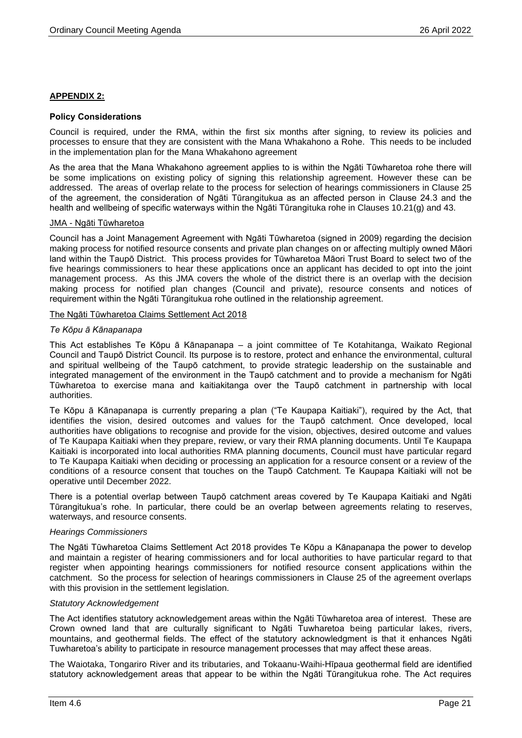#### **APPENDIX 2:**

#### **Policy Considerations**

Council is required, under the RMA, within the first six months after signing, to review its policies and processes to ensure that they are consistent with the Mana Whakahono a Rohe. This needs to be included in the implementation plan for the Mana Whakahono agreement

As the area that the Mana Whakahono agreement applies to is within the Ngāti Tūwharetoa rohe there will be some implications on existing policy of signing this relationship agreement. However these can be addressed. The areas of overlap relate to the process for selection of hearings commissioners in Clause 25 of the agreement, the consideration of Ngāti Tūrangitukua as an affected person in Clause 24.3 and the health and wellbeing of specific waterways within the Ngāti Tūrangituka rohe in Clauses 10.21(g) and 43.

#### JMA - Ngāti Tūwharetoa

Council has a Joint Management Agreement with Ngāti Tūwharetoa (signed in 2009) regarding the decision making process for notified resource consents and private plan changes on or affecting multiply owned Māori land within the Taupō District. This process provides for Tūwharetoa Māori Trust Board to select two of the five hearings commissioners to hear these applications once an applicant has decided to opt into the joint management process. As this JMA covers the whole of the district there is an overlap with the decision making process for notified plan changes (Council and private), resource consents and notices of requirement within the Ngāti Tūrangitukua rohe outlined in the relationship agreement.

#### The Ngāti Tūwharetoa Claims Settlement Act 2018

#### *Te Kōpu ā Kānapanapa*

This Act establishes Te Kōpu ā Kānapanapa – a joint committee of Te Kotahitanga, Waikato Regional Council and Taupō District Council. Its purpose is to restore, protect and enhance the environmental, cultural and spiritual wellbeing of the Taupō catchment, to provide strategic leadership on the sustainable and integrated management of the environment in the Taupō catchment and to provide a mechanism for Ngāti Tūwharetoa to exercise mana and kaitiakitanga over the Taupō catchment in partnership with local authorities.

Te Kōpu ā Kānapanapa is currently preparing a plan ("Te Kaupapa Kaitiaki"), required by the Act, that identifies the vision, desired outcomes and values for the Taupō catchment. Once developed, local authorities have obligations to recognise and provide for the vision, objectives, desired outcome and values of Te Kaupapa Kaitiaki when they prepare, review, or vary their RMA planning documents. Until Te Kaupapa Kaitiaki is incorporated into local authorities RMA planning documents, Council must have particular regard to Te Kaupapa Kaitiaki when deciding or processing an application for a resource consent or a review of the conditions of a resource consent that touches on the Taupō Catchment. Te Kaupapa Kaitiaki will not be operative until December 2022.

There is a potential overlap between Taupō catchment areas covered by Te Kaupapa Kaitiaki and Ngāti Tūrangitukua's rohe. In particular, there could be an overlap between agreements relating to reserves, waterways, and resource consents.

#### *Hearings Commissioners*

The Ngāti Tūwharetoa Claims Settlement Act 2018 provides Te Kōpu a Kānapanapa the power to develop and maintain a register of hearing commissioners and for local authorities to have particular regard to that register when appointing hearings commissioners for notified resource consent applications within the catchment. So the process for selection of hearings commissioners in Clause 25 of the agreement overlaps with this provision in the settlement legislation.

#### *Statutory Acknowledgement*

The Act identifies statutory acknowledgement areas within the Ngāti Tūwharetoa area of interest. These are Crown owned land that are culturally significant to Ngāti Tuwharetoa being particular lakes, rivers, mountains, and geothermal fields. The effect of the statutory acknowledgment is that it enhances Ngāti Tuwharetoa's ability to participate in resource management processes that may affect these areas.

The Waiotaka, Tongariro River and its tributaries, and Tokaanu-Waihi-Hīpaua geothermal field are identified statutory acknowledgement areas that appear to be within the Ngāti Tūrangitukua rohe. The Act requires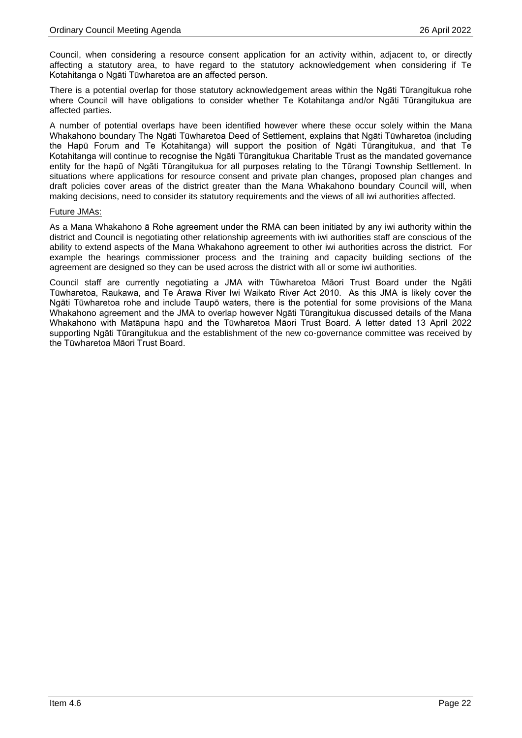Council, when considering a resource consent application for an activity within, adjacent to, or directly affecting a statutory area, to have regard to the statutory acknowledgement when considering if Te Kotahitanga o Ngāti Tūwharetoa are an affected person.

There is a potential overlap for those statutory acknowledgement areas within the Ngāti Tūrangitukua rohe where Council will have obligations to consider whether Te Kotahitanga and/or Ngāti Tūrangitukua are affected parties.

A number of potential overlaps have been identified however where these occur solely within the Mana Whakahono boundary The Ngāti Tūwharetoa Deed of Settlement, explains that Ngāti Tūwharetoa (including the Hapū Forum and Te Kotahitanga) will support the position of Ngāti Tūrangitukua, and that Te Kotahitanga will continue to recognise the Ngāti Tūrangitukua Charitable Trust as the mandated governance entity for the hapū of Ngāti Tūrangitukua for all purposes relating to the Tūrangi Township Settlement. In situations where applications for resource consent and private plan changes, proposed plan changes and draft policies cover areas of the district greater than the Mana Whakahono boundary Council will, when making decisions, need to consider its statutory requirements and the views of all iwi authorities affected.

#### Future JMAs:

As a Mana Whakahono ā Rohe agreement under the RMA can been initiated by any iwi authority within the district and Council is negotiating other relationship agreements with iwi authorities staff are conscious of the ability to extend aspects of the Mana Whakahono agreement to other iwi authorities across the district. For example the hearings commissioner process and the training and capacity building sections of the agreement are designed so they can be used across the district with all or some iwi authorities.

Council staff are currently negotiating a JMA with Tūwharetoa Māori Trust Board under the Ngāti Tūwharetoa, Raukawa, and Te Arawa River Iwi Waikato River Act 2010. As this JMA is likely cover the Ngāti Tūwharetoa rohe and include Taupō waters, there is the potential for some provisions of the Mana Whakahono agreement and the JMA to overlap however Ngāti Tūrangitukua discussed details of the Mana Whakahono with Matāpuna hapū and the Tūwharetoa Māori Trust Board. A letter dated 13 April 2022 supporting Ngāti Tūrangitukua and the establishment of the new co-governance committee was received by the Tūwharetoa Māori Trust Board.